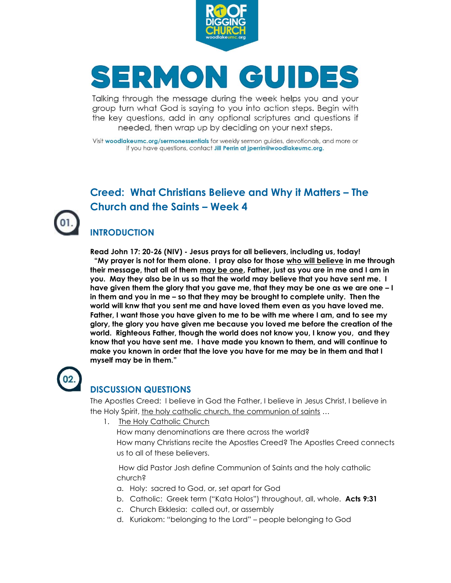

# SERMON GUIDES

Talking through the message during the week helps you and your group turn what God is saying to you into action steps. Begin with the key questions, add in any optional scriptures and questions if needed, then wrap up by deciding on your next steps.

Visit woodlakeumc.org/sermonessentials for weekly sermon guides, devotionals, and more or if you have questions, contact Jill Perrin at jperrin@woodlakeumc.org.

### **Creed: What Christians Believe and Why it Matters – The Church and the Saints – Week 4**

#### **INTRODUCTION**

**Read John 17: 20-26 (NIV) - Jesus prays for all believers, including us, today! "My prayer is not for them alone. I pray also for those who will believe in me through their message, that all of them may be one, Father, just as you are in me and I am in you. May they also be in us so that the world may believe that you have sent me. I have given them the glory that you gave me, that they may be one as we are one – I in them and you in me – so that they may be brought to complete unity. Then the world will knw that you sent me and have loved them even as you have loved me. Father, I want those you have given to me to be with me where I am, and to see my glory, the glory you have given me because you loved me before the creation of the world. Righteous Father, though the world does not know you, I know you, and they know that you have sent me. I have made you known to them, and will continue to make you known in order that the love you have for me may be in them and that I myself may be in them."**



#### **DISCUSSION QUESTIONS**

The Apostles Creed: I believe in God the Father, I believe in Jesus Christ, I believe in the Holy Spirit, the holy catholic church, the communion of saints …

1. The Holy Catholic Church

How many denominations are there across the world? How many Christians recite the Apostles Creed? The Apostles Creed connects us to all of these believers.

How did Pastor Josh define Communion of Saints and the holy catholic church?

- a. Holy: sacred to God, or, set apart for God
- b. Catholic: Greek term ("Kata Holos") throughout, all, whole. **Acts 9:31**
- c. Church Ekklesia: called out, or assembly
- d. Kuriakom: "belonging to the Lord" people belonging to God